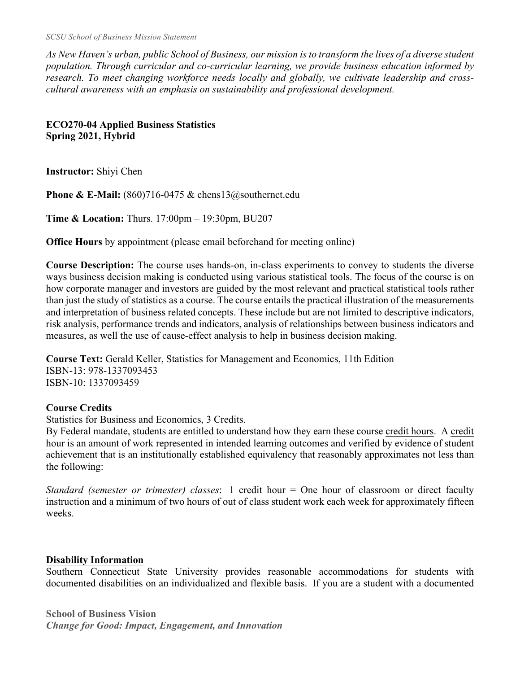*SCSU School of Business Mission Statement*

*As New Haven's urban, public School of Business, our mission is to transform the lives of a diverse student population. Through curricular and co-curricular learning, we provide business education informed by research. To meet changing workforce needs locally and globally, we cultivate leadership and crosscultural awareness with an emphasis on sustainability and professional development.*

#### **ECO270-04 Applied Business Statistics Spring 2021, Hybrid**

**Instructor:** Shiyi Chen

**Phone & E-Mail:** (860)716-0475 & chens13@southernct.edu

**Time & Location:** Thurs. 17:00pm – 19:30pm, BU207

**Office Hours** by appointment (please email beforehand for meeting online)

**Course Description:** The course uses hands-on, in-class experiments to convey to students the diverse ways business decision making is conducted using various statistical tools. The focus of the course is on how corporate manager and investors are guided by the most relevant and practical statistical tools rather than just the study of statistics as a course. The course entails the practical illustration of the measurements and interpretation of business related concepts. These include but are not limited to descriptive indicators, risk analysis, performance trends and indicators, analysis of relationships between business indicators and measures, as well the use of cause-effect analysis to help in business decision making.

**Course Text:** Gerald Keller, Statistics for Management and Economics, 11th Edition ISBN-13: 978-1337093453 ISBN-10: 1337093459

#### **Course Credits**

Statistics for Business and Economics, 3 Credits.

By Federal mandate, students are entitled to understand how they earn these course credit hours.A credit hour is an amount of work represented in intended learning outcomes and verified by evidence of student achievement that is an institutionally established equivalency that reasonably approximates not less than the following:

*Standard (semester or trimester) classes*: 1 credit hour = One hour of classroom or direct faculty instruction and a minimum of two hours of out of class student work each week for approximately fifteen weeks.

## **Disability Information**

Southern Connecticut State University provides reasonable accommodations for students with documented disabilities on an individualized and flexible basis. If you are a student with a documented

**School of Business Vision** *Change for Good: Impact, Engagement, and Innovation*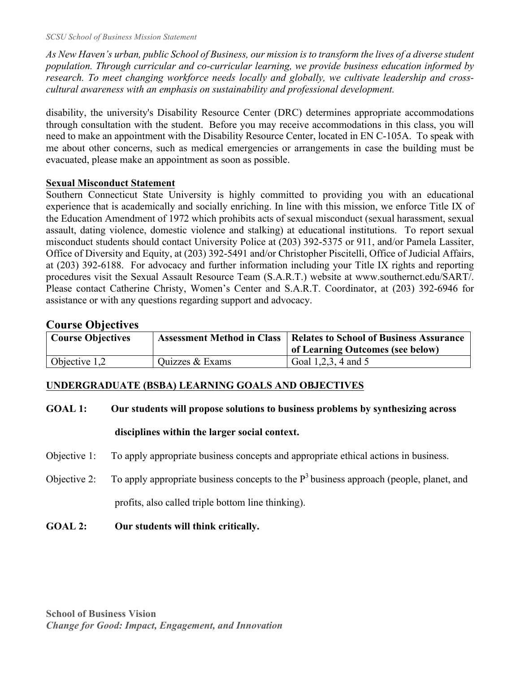*As New Haven's urban, public School of Business, our mission is to transform the lives of a diverse student population. Through curricular and co-curricular learning, we provide business education informed by research. To meet changing workforce needs locally and globally, we cultivate leadership and crosscultural awareness with an emphasis on sustainability and professional development.*

disability, the university's Disability Resource Center (DRC) determines appropriate accommodations through consultation with the student. Before you may receive accommodations in this class, you will need to make an appointment with the Disability Resource Center, located in EN C-105A. To speak with me about other concerns, such as medical emergencies or arrangements in case the building must be evacuated, please make an appointment as soon as possible.

#### **Sexual Misconduct Statement**

Southern Connecticut State University is highly committed to providing you with an educational experience that is academically and socially enriching. In line with this mission, we enforce Title IX of the Education Amendment of 1972 which prohibits acts of sexual misconduct (sexual harassment, sexual assault, dating violence, domestic violence and stalking) at educational institutions. To report sexual misconduct students should contact University Police at (203) 392-5375 or 911, and/or Pamela Lassiter, Office of Diversity and Equity, at (203) 392-5491 and/or Christopher Piscitelli, Office of Judicial Affairs, at (203) 392-6188. For advocacy and further information including your Title IX rights and reporting procedures visit the Sexual Assault Resource Team (S.A.R.T.) website at www.southernct.edu/SART/. Please contact Catherine Christy, Women's Center and S.A.R.T. Coordinator, at (203) 392-6946 for assistance or with any questions regarding support and advocacy.

## **Course Objectives**

| <b>Course Objectives</b> |                 | <b>Assessment Method in Class   Relates to School of Business Assurance</b><br>of Learning Outcomes (see below) |
|--------------------------|-----------------|-----------------------------------------------------------------------------------------------------------------|
| Objective $1,2$          | Quizzes & Exams | Goal 1, 2, 3, 4 and 5                                                                                           |

## **UNDERGRADUATE (BSBA) LEARNING GOALS AND OBJECTIVES**

#### **GOAL 1: Our students will propose solutions to business problems by synthesizing across**

## **disciplines within the larger social context.**

- Objective 1: To apply appropriate business concepts and appropriate ethical actions in business.
- Objective 2: To apply appropriate business concepts to the  $P<sup>3</sup>$  business approach (people, planet, and profits, also called triple bottom line thinking).
- **GOAL 2: Our students will think critically.**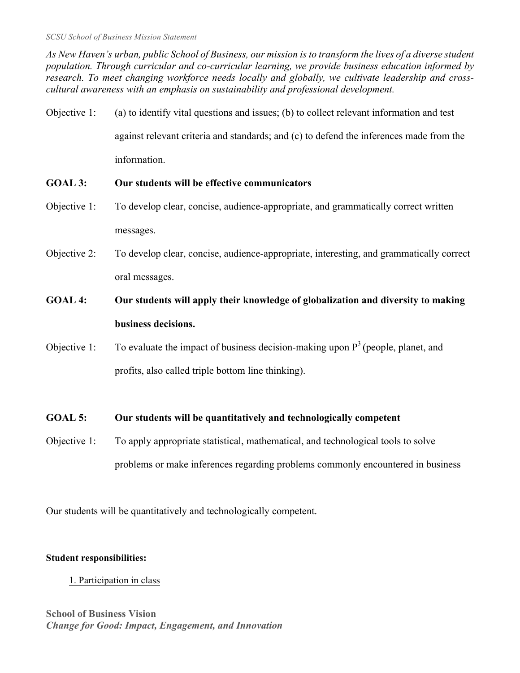*As New Haven's urban, public School of Business, our mission is to transform the lives of a diverse student population. Through curricular and co-curricular learning, we provide business education informed by research. To meet changing workforce needs locally and globally, we cultivate leadership and crosscultural awareness with an emphasis on sustainability and professional development.*

Objective 1: (a) to identify vital questions and issues; (b) to collect relevant information and test against relevant criteria and standards; and (c) to defend the inferences made from the information.

## **GOAL 3: Our students will be effective communicators**

- Objective 1: To develop clear, concise, audience-appropriate, and grammatically correct written messages.
- Objective 2: To develop clear, concise, audience-appropriate, interesting, and grammatically correct oral messages.
- **GOAL 4: Our students will apply their knowledge of globalization and diversity to making business decisions.**
- Objective 1: To evaluate the impact of business decision-making upon  $P<sup>3</sup>$  (people, planet, and profits, also called triple bottom line thinking).

## **GOAL 5: Our students will be quantitatively and technologically competent**

Objective 1: To apply appropriate statistical, mathematical, and technological tools to solve problems or make inferences regarding problems commonly encountered in business

Our students will be quantitatively and technologically competent.

## **Student responsibilities:**

1. Participation in class

# **School of Business Vision** *Change for Good: Impact, Engagement, and Innovation*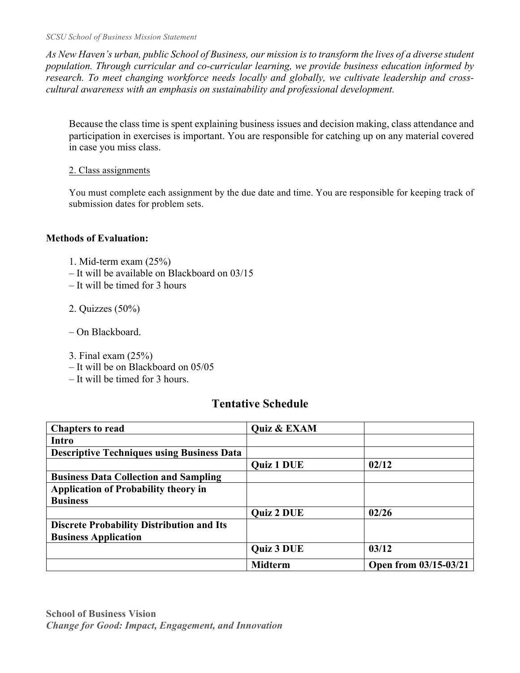*SCSU School of Business Mission Statement*

*As New Haven's urban, public School of Business, our mission is to transform the lives of a diverse student population. Through curricular and co-curricular learning, we provide business education informed by research. To meet changing workforce needs locally and globally, we cultivate leadership and crosscultural awareness with an emphasis on sustainability and professional development.*

Because the class time is spent explaining business issues and decision making, class attendance and participation in exercises is important. You are responsible for catching up on any material covered in case you miss class.

#### 2. Class assignments

You must complete each assignment by the due date and time. You are responsible for keeping track of submission dates for problem sets.

## **Methods of Evaluation:**

- 1. Mid-term exam (25%)
- It will be available on Blackboard on 03/15
- It will be timed for 3 hours
- 2. Quizzes (50%)
- On Blackboard.
- 3. Final exam (25%)
- It will be on Blackboard on 05/05
- It will be timed for 3 hours.

# **Tentative Schedule**

| <b>Chapters to read</b>                           | Quiz & EXAM       |                       |
|---------------------------------------------------|-------------------|-----------------------|
| Intro                                             |                   |                       |
| <b>Descriptive Techniques using Business Data</b> |                   |                       |
|                                                   | <b>Quiz 1 DUE</b> | 02/12                 |
| <b>Business Data Collection and Sampling</b>      |                   |                       |
| <b>Application of Probability theory in</b>       |                   |                       |
| <b>Business</b>                                   |                   |                       |
|                                                   | <b>Quiz 2 DUE</b> | 02/26                 |
| <b>Discrete Probability Distribution and Its</b>  |                   |                       |
| <b>Business Application</b>                       |                   |                       |
|                                                   | <b>Quiz 3 DUE</b> | 03/12                 |
|                                                   | <b>Midterm</b>    | Open from 03/15-03/21 |